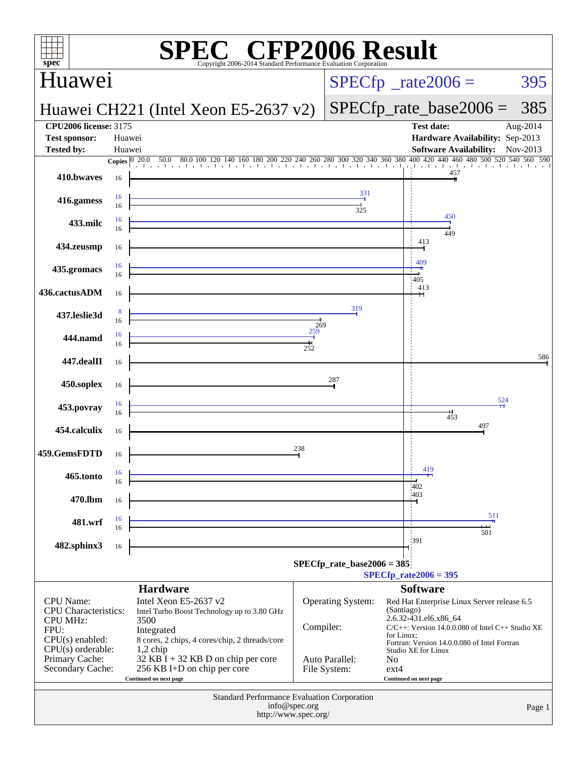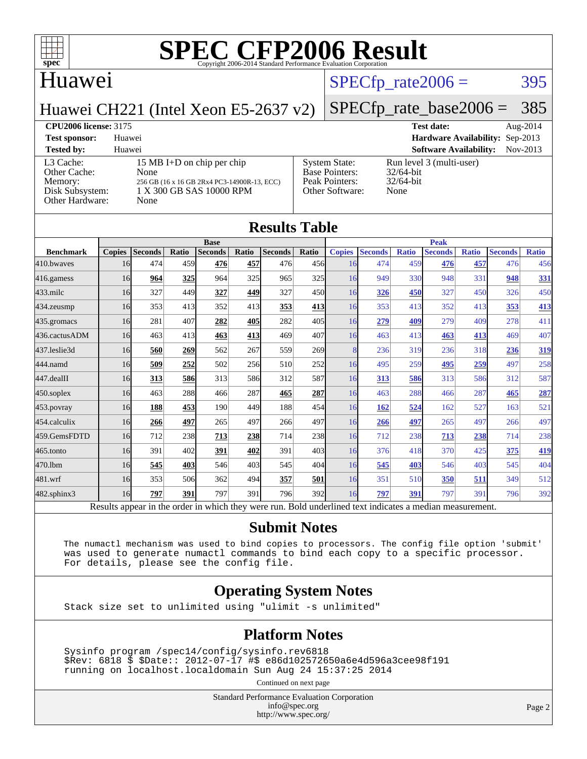

## Huawei

### $SPECTp_rate2006 = 395$

Huawei CH221 (Intel Xeon E5-2637 v2)

### [SPECfp\\_rate\\_base2006 =](http://www.spec.org/auto/cpu2006/Docs/result-fields.html#SPECfpratebase2006) 385

**[CPU2006 license:](http://www.spec.org/auto/cpu2006/Docs/result-fields.html#CPU2006license)** 3175 **[Test date:](http://www.spec.org/auto/cpu2006/Docs/result-fields.html#Testdate)** Aug-2014 **[Test sponsor:](http://www.spec.org/auto/cpu2006/Docs/result-fields.html#Testsponsor)** Huawei **[Hardware Availability:](http://www.spec.org/auto/cpu2006/Docs/result-fields.html#HardwareAvailability)** Sep-2013 **[Tested by:](http://www.spec.org/auto/cpu2006/Docs/result-fields.html#Testedby)** Huawei **[Software Availability:](http://www.spec.org/auto/cpu2006/Docs/result-fields.html#SoftwareAvailability)** Nov-2013 [L3 Cache:](http://www.spec.org/auto/cpu2006/Docs/result-fields.html#L3Cache) 15 MB I+D on chip per chip<br>Other Cache: None [Other Cache:](http://www.spec.org/auto/cpu2006/Docs/result-fields.html#OtherCache) [Memory:](http://www.spec.org/auto/cpu2006/Docs/result-fields.html#Memory) 256 GB (16 x 16 GB 2Rx4 PC3-14900R-13, ECC) [Disk Subsystem:](http://www.spec.org/auto/cpu2006/Docs/result-fields.html#DiskSubsystem) 1 X 300 GB SAS 10000 RPM [Other Hardware:](http://www.spec.org/auto/cpu2006/Docs/result-fields.html#OtherHardware) None [System State:](http://www.spec.org/auto/cpu2006/Docs/result-fields.html#SystemState) Run level 3 (multi-user)<br>Base Pointers: 32/64-bit [Base Pointers:](http://www.spec.org/auto/cpu2006/Docs/result-fields.html#BasePointers) [Peak Pointers:](http://www.spec.org/auto/cpu2006/Docs/result-fields.html#PeakPointers) 32/64-bit [Other Software:](http://www.spec.org/auto/cpu2006/Docs/result-fields.html#OtherSoftware) None

|               |                                                                                                                             |              |                                                                                                                                                      | <b>Results Table</b> |                                                                                                                                              |                                                                               |                                                  |                       |              |                                                                                                     |                     |                                                                                                                                                                                                  |
|---------------|-----------------------------------------------------------------------------------------------------------------------------|--------------|------------------------------------------------------------------------------------------------------------------------------------------------------|----------------------|----------------------------------------------------------------------------------------------------------------------------------------------|-------------------------------------------------------------------------------|--------------------------------------------------|-----------------------|--------------|-----------------------------------------------------------------------------------------------------|---------------------|--------------------------------------------------------------------------------------------------------------------------------------------------------------------------------------------------|
|               |                                                                                                                             |              |                                                                                                                                                      |                      |                                                                                                                                              |                                                                               |                                                  |                       |              |                                                                                                     |                     |                                                                                                                                                                                                  |
|               |                                                                                                                             |              |                                                                                                                                                      |                      |                                                                                                                                              |                                                                               |                                                  |                       |              |                                                                                                     |                     | <b>Ratio</b>                                                                                                                                                                                     |
|               |                                                                                                                             |              |                                                                                                                                                      |                      |                                                                                                                                              | 16                                                                            |                                                  |                       | 476          |                                                                                                     | 476                 | 456                                                                                                                                                                                              |
| 964           |                                                                                                                             | 964          |                                                                                                                                                      | 965                  |                                                                                                                                              | 16                                                                            | 949                                              |                       | 948          | 331                                                                                                 | 948                 | 331                                                                                                                                                                                              |
| 327           |                                                                                                                             | 327          |                                                                                                                                                      | 327                  |                                                                                                                                              | 16                                                                            | 326                                              | 450                   | 327          |                                                                                                     | 326                 | 450                                                                                                                                                                                              |
| 353           |                                                                                                                             | 352          |                                                                                                                                                      | 353                  |                                                                                                                                              | 16                                                                            | 353                                              | 413                   | 352          |                                                                                                     | 353                 | 413                                                                                                                                                                                              |
| 281           |                                                                                                                             | 282          |                                                                                                                                                      | 282                  |                                                                                                                                              | 16                                                                            | 279                                              |                       | 279          |                                                                                                     | 278                 | 411                                                                                                                                                                                              |
| 463           |                                                                                                                             | 463          |                                                                                                                                                      | 469                  |                                                                                                                                              | 16                                                                            | 463                                              |                       | 463          |                                                                                                     | 469                 | 407                                                                                                                                                                                              |
| 560           |                                                                                                                             | 562          |                                                                                                                                                      | 559                  |                                                                                                                                              | 8                                                                             | 236                                              |                       | 236          |                                                                                                     | 236                 | 319                                                                                                                                                                                              |
| 509           |                                                                                                                             | 502          |                                                                                                                                                      | 510                  |                                                                                                                                              | 16                                                                            | 495                                              |                       | 495          |                                                                                                     | 497                 | 258                                                                                                                                                                                              |
| 313           |                                                                                                                             | 313          |                                                                                                                                                      | 312                  |                                                                                                                                              | 16                                                                            | 313                                              |                       | 313          |                                                                                                     | 312                 | 587                                                                                                                                                                                              |
| 463           |                                                                                                                             | 466          |                                                                                                                                                      | 465                  | 287                                                                                                                                          | 16                                                                            | 463                                              | 288                   | 466          | 287                                                                                                 | 465                 | 287                                                                                                                                                                                              |
| 188           |                                                                                                                             | 190          |                                                                                                                                                      | 188                  |                                                                                                                                              | 16                                                                            | 162                                              |                       | 162          | 527                                                                                                 | 163                 | 521                                                                                                                                                                                              |
| 266           |                                                                                                                             | 265          |                                                                                                                                                      | 266                  |                                                                                                                                              | 16                                                                            | 266                                              | 497                   | 265          | 497                                                                                                 | 266                 | 497                                                                                                                                                                                              |
| 712           |                                                                                                                             | 713          |                                                                                                                                                      | 714                  |                                                                                                                                              | 16                                                                            | 712                                              | 238                   | 713          |                                                                                                     | 714                 | 238                                                                                                                                                                                              |
| 391           |                                                                                                                             | 391          |                                                                                                                                                      | 391                  |                                                                                                                                              | 16                                                                            | 376                                              |                       | 370          |                                                                                                     | 375                 | 419                                                                                                                                                                                              |
| 545           |                                                                                                                             | 546          |                                                                                                                                                      | 545                  |                                                                                                                                              | 16                                                                            | 545                                              |                       | 546          |                                                                                                     | 545                 | 404                                                                                                                                                                                              |
| 353           |                                                                                                                             | 362          |                                                                                                                                                      | 357                  | 501                                                                                                                                          | 16                                                                            | 351                                              | 510                   | 350          | 511                                                                                                 | 349                 | 512                                                                                                                                                                                              |
| 797           | 391                                                                                                                         | 797          |                                                                                                                                                      | 796                  |                                                                                                                                              | 16                                                                            | 797                                              | 391                   | 797          | 391                                                                                                 | 796                 | 392                                                                                                                                                                                              |
| <b>Copies</b> | <b>Seconds</b><br>474<br>16<br>16<br>16<br>16<br>16<br>16<br>16<br>16<br>16<br>16<br>16<br>16<br>16<br>16<br>16<br>16<br>16 | Ratio<br>407 | <b>Base</b><br><b>Seconds</b><br>476<br>459<br>325<br>449<br>413<br>413<br>269<br>252<br>586<br>288<br><b>453</b><br>497<br>238<br>402<br>403<br>506 | Ratio                | <b>Seconds</b><br>457<br>476<br>325<br>449<br>413<br>405<br>413<br>267<br>256<br>586<br>287<br>449<br>497<br>238<br>402<br>403<br>494<br>391 | Ratio<br>450l<br>413<br>407<br>269<br>252<br>587<br>497<br>238<br>404<br>392I | <b>Copies</b><br>456<br>325<br>405<br>454<br>403 | <b>Seconds</b><br>474 | <b>Ratio</b> | <b>Peak</b><br><b>Seconds</b><br>459<br>330<br>409<br>413<br>319<br>259<br>586<br>524<br>418<br>403 | <b>Ratio</b><br>457 | <b>Seconds</b><br>450<br>413<br>409<br>413<br>318<br>259<br>586<br>238<br>425<br>403<br>Results appear in the order in which they were run. Bold underlined text indicates a median measurement. |

### **[Submit Notes](http://www.spec.org/auto/cpu2006/Docs/result-fields.html#SubmitNotes)**

 The numactl mechanism was used to bind copies to processors. The config file option 'submit' was used to generate numactl commands to bind each copy to a specific processor. For details, please see the config file.

### **[Operating System Notes](http://www.spec.org/auto/cpu2006/Docs/result-fields.html#OperatingSystemNotes)**

Stack size set to unlimited using "ulimit -s unlimited"

### **[Platform Notes](http://www.spec.org/auto/cpu2006/Docs/result-fields.html#PlatformNotes)**

 Sysinfo program /spec14/config/sysinfo.rev6818 \$Rev: 6818 \$ \$Date:: 2012-07-17 #\$ e86d102572650a6e4d596a3cee98f191 running on localhost.localdomain Sun Aug 24 15:37:25 2014

Continued on next page

Standard Performance Evaluation Corporation [info@spec.org](mailto:info@spec.org) <http://www.spec.org/>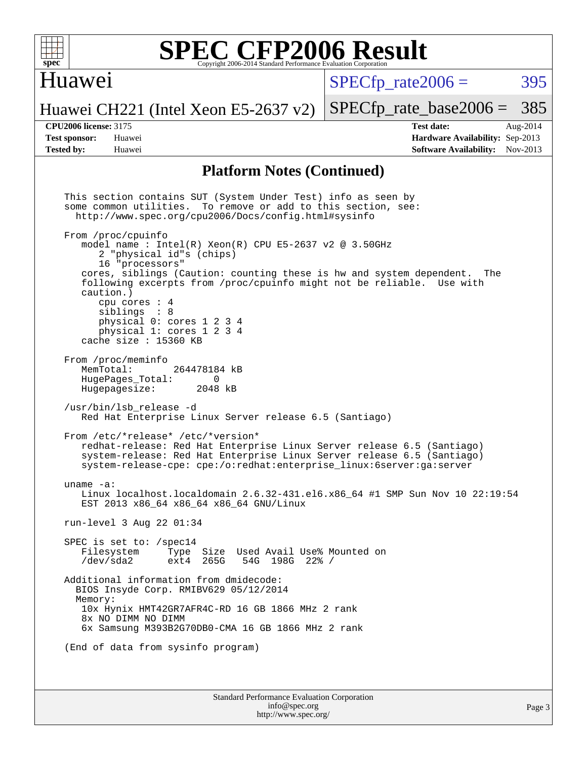

### Huawei

 $SPECTp\_rate2006 = 395$ 

[SPECfp\\_rate\\_base2006 =](http://www.spec.org/auto/cpu2006/Docs/result-fields.html#SPECfpratebase2006) 385

# Huawei CH221 (Intel Xeon E5-2637 v2)

**[CPU2006 license:](http://www.spec.org/auto/cpu2006/Docs/result-fields.html#CPU2006license)** 3175 **[Test date:](http://www.spec.org/auto/cpu2006/Docs/result-fields.html#Testdate)** Aug-2014 **[Test sponsor:](http://www.spec.org/auto/cpu2006/Docs/result-fields.html#Testsponsor)** Huawei **[Hardware Availability:](http://www.spec.org/auto/cpu2006/Docs/result-fields.html#HardwareAvailability)** Sep-2013 **[Tested by:](http://www.spec.org/auto/cpu2006/Docs/result-fields.html#Testedby)** Huawei **[Software Availability:](http://www.spec.org/auto/cpu2006/Docs/result-fields.html#SoftwareAvailability)** Nov-2013

### **[Platform Notes \(Continued\)](http://www.spec.org/auto/cpu2006/Docs/result-fields.html#PlatformNotes)**

Standard Performance Evaluation Corporation [info@spec.org](mailto:info@spec.org) This section contains SUT (System Under Test) info as seen by some common utilities. To remove or add to this section, see: <http://www.spec.org/cpu2006/Docs/config.html#sysinfo> From /proc/cpuinfo model name : Intel $(R)$  Xeon $(R)$  CPU E5-2637 v2 @ 3.50GHz 2 "physical id"s (chips) 16 "processors" cores, siblings (Caution: counting these is hw and system dependent. The following excerpts from /proc/cpuinfo might not be reliable. Use with caution.) cpu cores : 4 siblings : 8 physical 0: cores 1 2 3 4 physical 1: cores 1 2 3 4 cache size : 15360 KB From /proc/meminfo<br>MemTotal: 264478184 kB HugePages\_Total: 0<br>Hugepagesize: 2048 kB Hugepagesize: /usr/bin/lsb\_release -d Red Hat Enterprise Linux Server release 6.5 (Santiago) From /etc/\*release\* /etc/\*version\* redhat-release: Red Hat Enterprise Linux Server release 6.5 (Santiago) system-release: Red Hat Enterprise Linux Server release 6.5 (Santiago) system-release-cpe: cpe:/o:redhat:enterprise\_linux:6server:ga:server uname -a: Linux localhost.localdomain 2.6.32-431.el6.x86\_64 #1 SMP Sun Nov 10 22:19:54 EST 2013 x86\_64 x86\_64 x86\_64 GNU/Linux run-level 3 Aug 22 01:34 SPEC is set to: /spec14<br>Filesystem Type Type Size Used Avail Use% Mounted on /dev/sda2 ext4 265G 54G 198G 22% / Additional information from dmidecode: BIOS Insyde Corp. RMIBV629 05/12/2014 Memory: 10x Hynix HMT42GR7AFR4C-RD 16 GB 1866 MHz 2 rank 8x NO DIMM NO DIMM 6x Samsung M393B2G70DB0-CMA 16 GB 1866 MHz 2 rank (End of data from sysinfo program)

<http://www.spec.org/>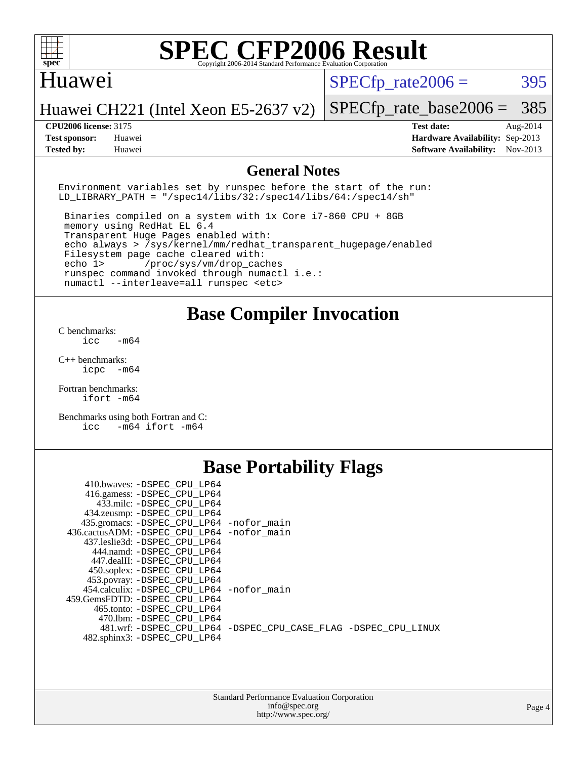

### Huawei

 $SPECTp\_rate2006 = 395$ 

Huawei CH221 (Intel Xeon E5-2637 v2)

**[Test sponsor:](http://www.spec.org/auto/cpu2006/Docs/result-fields.html#Testsponsor)** Huawei **[Hardware Availability:](http://www.spec.org/auto/cpu2006/Docs/result-fields.html#HardwareAvailability)** Sep-2013 **[Tested by:](http://www.spec.org/auto/cpu2006/Docs/result-fields.html#Testedby)** Huawei **[Software Availability:](http://www.spec.org/auto/cpu2006/Docs/result-fields.html#SoftwareAvailability)** Nov-2013

[SPECfp\\_rate\\_base2006 =](http://www.spec.org/auto/cpu2006/Docs/result-fields.html#SPECfpratebase2006) 385 **[CPU2006 license:](http://www.spec.org/auto/cpu2006/Docs/result-fields.html#CPU2006license)** 3175 **[Test date:](http://www.spec.org/auto/cpu2006/Docs/result-fields.html#Testdate)** Aug-2014

### **[General Notes](http://www.spec.org/auto/cpu2006/Docs/result-fields.html#GeneralNotes)**

Environment variables set by runspec before the start of the run: LD LIBRARY PATH = "/spec14/libs/32:/spec14/libs/64:/spec14/sh"

 Binaries compiled on a system with 1x Core i7-860 CPU + 8GB memory using RedHat EL 6.4 Transparent Huge Pages enabled with: echo always > /sys/kernel/mm/redhat\_transparent\_hugepage/enabled Filesystem page cache cleared with: echo 1> /proc/sys/vm/drop\_caches runspec command invoked through numactl i.e.: numactl --interleave=all runspec <etc>

### **[Base Compiler Invocation](http://www.spec.org/auto/cpu2006/Docs/result-fields.html#BaseCompilerInvocation)**

[C benchmarks](http://www.spec.org/auto/cpu2006/Docs/result-fields.html#Cbenchmarks):  $\text{icc}$   $-\text{m64}$ 

[C++ benchmarks:](http://www.spec.org/auto/cpu2006/Docs/result-fields.html#CXXbenchmarks) [icpc -m64](http://www.spec.org/cpu2006/results/res2014q3/cpu2006-20140826-31062.flags.html#user_CXXbase_intel_icpc_64bit_bedb90c1146cab66620883ef4f41a67e)

[Fortran benchmarks](http://www.spec.org/auto/cpu2006/Docs/result-fields.html#Fortranbenchmarks): [ifort -m64](http://www.spec.org/cpu2006/results/res2014q3/cpu2006-20140826-31062.flags.html#user_FCbase_intel_ifort_64bit_ee9d0fb25645d0210d97eb0527dcc06e)

[Benchmarks using both Fortran and C](http://www.spec.org/auto/cpu2006/Docs/result-fields.html#BenchmarksusingbothFortranandC): [icc -m64](http://www.spec.org/cpu2006/results/res2014q3/cpu2006-20140826-31062.flags.html#user_CC_FCbase_intel_icc_64bit_0b7121f5ab7cfabee23d88897260401c) [ifort -m64](http://www.spec.org/cpu2006/results/res2014q3/cpu2006-20140826-31062.flags.html#user_CC_FCbase_intel_ifort_64bit_ee9d0fb25645d0210d97eb0527dcc06e)

## **[Base Portability Flags](http://www.spec.org/auto/cpu2006/Docs/result-fields.html#BasePortabilityFlags)**

| 410.bwaves: -DSPEC CPU LP64                 |                                                                |
|---------------------------------------------|----------------------------------------------------------------|
| 416.gamess: -DSPEC_CPU_LP64                 |                                                                |
| 433.milc: -DSPEC CPU LP64                   |                                                                |
| 434.zeusmp: - DSPEC_CPU_LP64                |                                                                |
| 435.gromacs: -DSPEC_CPU_LP64 -nofor_main    |                                                                |
| 436.cactusADM: -DSPEC CPU LP64 -nofor main  |                                                                |
| 437.leslie3d: -DSPEC CPU LP64               |                                                                |
| 444.namd: -DSPEC CPU LP64                   |                                                                |
| 447.dealII: -DSPEC CPU LP64                 |                                                                |
| 450.soplex: - DSPEC CPU LP64                |                                                                |
| 453.povray: -DSPEC_CPU_LP64                 |                                                                |
| 454.calculix: - DSPEC CPU LP64 - nofor main |                                                                |
| 459. GemsFDTD: - DSPEC CPU LP64             |                                                                |
| 465.tonto: - DSPEC CPU LP64                 |                                                                |
| 470.1bm: - DSPEC CPU LP64                   |                                                                |
|                                             | 481.wrf: -DSPEC CPU_LP64 -DSPEC_CPU_CASE_FLAG -DSPEC_CPU_LINUX |
| 482.sphinx3: -DSPEC_CPU_LP64                |                                                                |
|                                             |                                                                |

| <b>Standard Performance Evaluation Corporation</b> |
|----------------------------------------------------|
| info@spec.org                                      |
| http://www.spec.org/                               |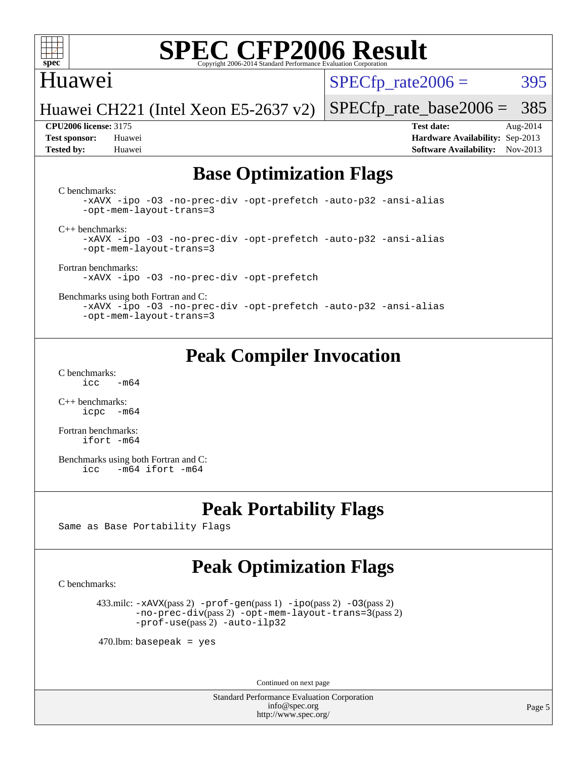

### Huawei

 $SPECTp\_rate2006 = 395$ 

[SPECfp\\_rate\\_base2006 =](http://www.spec.org/auto/cpu2006/Docs/result-fields.html#SPECfpratebase2006) 385

Huawei CH221 (Intel Xeon E5-2637 v2)

**[CPU2006 license:](http://www.spec.org/auto/cpu2006/Docs/result-fields.html#CPU2006license)** 3175 **[Test date:](http://www.spec.org/auto/cpu2006/Docs/result-fields.html#Testdate)** Aug-2014 **[Test sponsor:](http://www.spec.org/auto/cpu2006/Docs/result-fields.html#Testsponsor)** Huawei **[Hardware Availability:](http://www.spec.org/auto/cpu2006/Docs/result-fields.html#HardwareAvailability)** Sep-2013 **[Tested by:](http://www.spec.org/auto/cpu2006/Docs/result-fields.html#Testedby)** Huawei **[Software Availability:](http://www.spec.org/auto/cpu2006/Docs/result-fields.html#SoftwareAvailability)** Nov-2013

### **[Base Optimization Flags](http://www.spec.org/auto/cpu2006/Docs/result-fields.html#BaseOptimizationFlags)**

[C benchmarks](http://www.spec.org/auto/cpu2006/Docs/result-fields.html#Cbenchmarks):

[-xAVX](http://www.spec.org/cpu2006/results/res2014q3/cpu2006-20140826-31062.flags.html#user_CCbase_f-xAVX) [-ipo](http://www.spec.org/cpu2006/results/res2014q3/cpu2006-20140826-31062.flags.html#user_CCbase_f-ipo) [-O3](http://www.spec.org/cpu2006/results/res2014q3/cpu2006-20140826-31062.flags.html#user_CCbase_f-O3) [-no-prec-div](http://www.spec.org/cpu2006/results/res2014q3/cpu2006-20140826-31062.flags.html#user_CCbase_f-no-prec-div) [-opt-prefetch](http://www.spec.org/cpu2006/results/res2014q3/cpu2006-20140826-31062.flags.html#user_CCbase_f-opt-prefetch) [-auto-p32](http://www.spec.org/cpu2006/results/res2014q3/cpu2006-20140826-31062.flags.html#user_CCbase_f-auto-p32) [-ansi-alias](http://www.spec.org/cpu2006/results/res2014q3/cpu2006-20140826-31062.flags.html#user_CCbase_f-ansi-alias) [-opt-mem-layout-trans=3](http://www.spec.org/cpu2006/results/res2014q3/cpu2006-20140826-31062.flags.html#user_CCbase_f-opt-mem-layout-trans_a7b82ad4bd7abf52556d4961a2ae94d5)

[C++ benchmarks:](http://www.spec.org/auto/cpu2006/Docs/result-fields.html#CXXbenchmarks)

[-xAVX](http://www.spec.org/cpu2006/results/res2014q3/cpu2006-20140826-31062.flags.html#user_CXXbase_f-xAVX) [-ipo](http://www.spec.org/cpu2006/results/res2014q3/cpu2006-20140826-31062.flags.html#user_CXXbase_f-ipo) [-O3](http://www.spec.org/cpu2006/results/res2014q3/cpu2006-20140826-31062.flags.html#user_CXXbase_f-O3) [-no-prec-div](http://www.spec.org/cpu2006/results/res2014q3/cpu2006-20140826-31062.flags.html#user_CXXbase_f-no-prec-div) [-opt-prefetch](http://www.spec.org/cpu2006/results/res2014q3/cpu2006-20140826-31062.flags.html#user_CXXbase_f-opt-prefetch) [-auto-p32](http://www.spec.org/cpu2006/results/res2014q3/cpu2006-20140826-31062.flags.html#user_CXXbase_f-auto-p32) [-ansi-alias](http://www.spec.org/cpu2006/results/res2014q3/cpu2006-20140826-31062.flags.html#user_CXXbase_f-ansi-alias) [-opt-mem-layout-trans=3](http://www.spec.org/cpu2006/results/res2014q3/cpu2006-20140826-31062.flags.html#user_CXXbase_f-opt-mem-layout-trans_a7b82ad4bd7abf52556d4961a2ae94d5)

[Fortran benchmarks](http://www.spec.org/auto/cpu2006/Docs/result-fields.html#Fortranbenchmarks): [-xAVX](http://www.spec.org/cpu2006/results/res2014q3/cpu2006-20140826-31062.flags.html#user_FCbase_f-xAVX) [-ipo](http://www.spec.org/cpu2006/results/res2014q3/cpu2006-20140826-31062.flags.html#user_FCbase_f-ipo) [-O3](http://www.spec.org/cpu2006/results/res2014q3/cpu2006-20140826-31062.flags.html#user_FCbase_f-O3) [-no-prec-div](http://www.spec.org/cpu2006/results/res2014q3/cpu2006-20140826-31062.flags.html#user_FCbase_f-no-prec-div) [-opt-prefetch](http://www.spec.org/cpu2006/results/res2014q3/cpu2006-20140826-31062.flags.html#user_FCbase_f-opt-prefetch)

[Benchmarks using both Fortran and C](http://www.spec.org/auto/cpu2006/Docs/result-fields.html#BenchmarksusingbothFortranandC):

[-xAVX](http://www.spec.org/cpu2006/results/res2014q3/cpu2006-20140826-31062.flags.html#user_CC_FCbase_f-xAVX) [-ipo](http://www.spec.org/cpu2006/results/res2014q3/cpu2006-20140826-31062.flags.html#user_CC_FCbase_f-ipo) [-O3](http://www.spec.org/cpu2006/results/res2014q3/cpu2006-20140826-31062.flags.html#user_CC_FCbase_f-O3) [-no-prec-div](http://www.spec.org/cpu2006/results/res2014q3/cpu2006-20140826-31062.flags.html#user_CC_FCbase_f-no-prec-div) [-opt-prefetch](http://www.spec.org/cpu2006/results/res2014q3/cpu2006-20140826-31062.flags.html#user_CC_FCbase_f-opt-prefetch) [-auto-p32](http://www.spec.org/cpu2006/results/res2014q3/cpu2006-20140826-31062.flags.html#user_CC_FCbase_f-auto-p32) [-ansi-alias](http://www.spec.org/cpu2006/results/res2014q3/cpu2006-20140826-31062.flags.html#user_CC_FCbase_f-ansi-alias) [-opt-mem-layout-trans=3](http://www.spec.org/cpu2006/results/res2014q3/cpu2006-20140826-31062.flags.html#user_CC_FCbase_f-opt-mem-layout-trans_a7b82ad4bd7abf52556d4961a2ae94d5)

### **[Peak Compiler Invocation](http://www.spec.org/auto/cpu2006/Docs/result-fields.html#PeakCompilerInvocation)**

[C benchmarks](http://www.spec.org/auto/cpu2006/Docs/result-fields.html#Cbenchmarks):  $\text{icc}$  -m64

[C++ benchmarks:](http://www.spec.org/auto/cpu2006/Docs/result-fields.html#CXXbenchmarks) [icpc -m64](http://www.spec.org/cpu2006/results/res2014q3/cpu2006-20140826-31062.flags.html#user_CXXpeak_intel_icpc_64bit_bedb90c1146cab66620883ef4f41a67e)

[Fortran benchmarks](http://www.spec.org/auto/cpu2006/Docs/result-fields.html#Fortranbenchmarks): [ifort -m64](http://www.spec.org/cpu2006/results/res2014q3/cpu2006-20140826-31062.flags.html#user_FCpeak_intel_ifort_64bit_ee9d0fb25645d0210d97eb0527dcc06e)

[Benchmarks using both Fortran and C](http://www.spec.org/auto/cpu2006/Docs/result-fields.html#BenchmarksusingbothFortranandC): [icc -m64](http://www.spec.org/cpu2006/results/res2014q3/cpu2006-20140826-31062.flags.html#user_CC_FCpeak_intel_icc_64bit_0b7121f5ab7cfabee23d88897260401c) [ifort -m64](http://www.spec.org/cpu2006/results/res2014q3/cpu2006-20140826-31062.flags.html#user_CC_FCpeak_intel_ifort_64bit_ee9d0fb25645d0210d97eb0527dcc06e)

### **[Peak Portability Flags](http://www.spec.org/auto/cpu2006/Docs/result-fields.html#PeakPortabilityFlags)**

Same as Base Portability Flags

## **[Peak Optimization Flags](http://www.spec.org/auto/cpu2006/Docs/result-fields.html#PeakOptimizationFlags)**

[C benchmarks](http://www.spec.org/auto/cpu2006/Docs/result-fields.html#Cbenchmarks):

 433.milc: [-xAVX](http://www.spec.org/cpu2006/results/res2014q3/cpu2006-20140826-31062.flags.html#user_peakPASS2_CFLAGSPASS2_LDFLAGS433_milc_f-xAVX)(pass 2) [-prof-gen](http://www.spec.org/cpu2006/results/res2014q3/cpu2006-20140826-31062.flags.html#user_peakPASS1_CFLAGSPASS1_LDFLAGS433_milc_prof_gen_e43856698f6ca7b7e442dfd80e94a8fc)(pass 1) [-ipo](http://www.spec.org/cpu2006/results/res2014q3/cpu2006-20140826-31062.flags.html#user_peakPASS2_CFLAGSPASS2_LDFLAGS433_milc_f-ipo)(pass 2) [-O3](http://www.spec.org/cpu2006/results/res2014q3/cpu2006-20140826-31062.flags.html#user_peakPASS2_CFLAGSPASS2_LDFLAGS433_milc_f-O3)(pass 2) [-no-prec-div](http://www.spec.org/cpu2006/results/res2014q3/cpu2006-20140826-31062.flags.html#user_peakPASS2_CFLAGSPASS2_LDFLAGS433_milc_f-no-prec-div)(pass 2) [-opt-mem-layout-trans=3](http://www.spec.org/cpu2006/results/res2014q3/cpu2006-20140826-31062.flags.html#user_peakPASS2_CFLAGS433_milc_f-opt-mem-layout-trans_a7b82ad4bd7abf52556d4961a2ae94d5)(pass 2) [-prof-use](http://www.spec.org/cpu2006/results/res2014q3/cpu2006-20140826-31062.flags.html#user_peakPASS2_CFLAGSPASS2_LDFLAGS433_milc_prof_use_bccf7792157ff70d64e32fe3e1250b55)(pass 2) [-auto-ilp32](http://www.spec.org/cpu2006/results/res2014q3/cpu2006-20140826-31062.flags.html#user_peakCOPTIMIZE433_milc_f-auto-ilp32)

 $470$ .lbm: basepeak = yes

Continued on next page

Standard Performance Evaluation Corporation [info@spec.org](mailto:info@spec.org) <http://www.spec.org/>

Page 5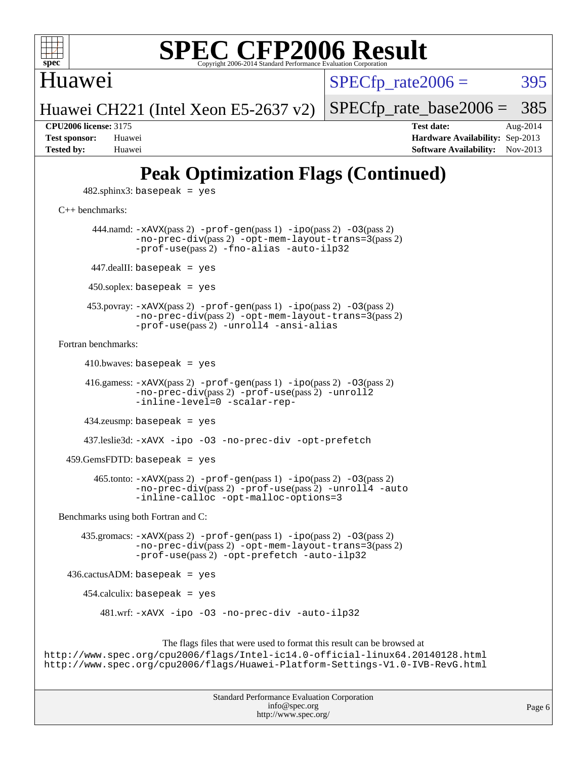

Huawei

 $SPECTp\_rate2006 = 395$ 

Huawei CH221 (Intel Xeon E5-2637 v2) [SPECfp\\_rate\\_base2006 =](http://www.spec.org/auto/cpu2006/Docs/result-fields.html#SPECfpratebase2006) 385

**[CPU2006 license:](http://www.spec.org/auto/cpu2006/Docs/result-fields.html#CPU2006license)** 3175 **[Test date:](http://www.spec.org/auto/cpu2006/Docs/result-fields.html#Testdate)** Aug-2014 **[Test sponsor:](http://www.spec.org/auto/cpu2006/Docs/result-fields.html#Testsponsor)** Huawei **[Hardware Availability:](http://www.spec.org/auto/cpu2006/Docs/result-fields.html#HardwareAvailability)** Sep-2013 **[Tested by:](http://www.spec.org/auto/cpu2006/Docs/result-fields.html#Testedby)** Huawei **[Software Availability:](http://www.spec.org/auto/cpu2006/Docs/result-fields.html#SoftwareAvailability)** Nov-2013

## **[Peak Optimization Flags \(Continued\)](http://www.spec.org/auto/cpu2006/Docs/result-fields.html#PeakOptimizationFlags)**

 $482$ .sphinx $3$ : basepeak = yes

### [C++ benchmarks:](http://www.spec.org/auto/cpu2006/Docs/result-fields.html#CXXbenchmarks)

444.namd:  $-x$ AVX(pass 2)  $-p$ rof-gen(pass 1)  $-p$ ipo(pass 2)  $-03$ (pass 2) [-no-prec-div](http://www.spec.org/cpu2006/results/res2014q3/cpu2006-20140826-31062.flags.html#user_peakPASS2_CXXFLAGSPASS2_LDFLAGS444_namd_f-no-prec-div)(pass 2) [-opt-mem-layout-trans=3](http://www.spec.org/cpu2006/results/res2014q3/cpu2006-20140826-31062.flags.html#user_peakPASS2_CXXFLAGS444_namd_f-opt-mem-layout-trans_a7b82ad4bd7abf52556d4961a2ae94d5)(pass 2) [-prof-use](http://www.spec.org/cpu2006/results/res2014q3/cpu2006-20140826-31062.flags.html#user_peakPASS2_CXXFLAGSPASS2_LDFLAGS444_namd_prof_use_bccf7792157ff70d64e32fe3e1250b55)(pass 2) [-fno-alias](http://www.spec.org/cpu2006/results/res2014q3/cpu2006-20140826-31062.flags.html#user_peakCXXOPTIMIZE444_namd_f-no-alias_694e77f6c5a51e658e82ccff53a9e63a) [-auto-ilp32](http://www.spec.org/cpu2006/results/res2014q3/cpu2006-20140826-31062.flags.html#user_peakCXXOPTIMIZE444_namd_f-auto-ilp32)  $447$ .dealII: basepeak = yes 450.soplex: basepeak = yes 453.povray: [-xAVX](http://www.spec.org/cpu2006/results/res2014q3/cpu2006-20140826-31062.flags.html#user_peakPASS2_CXXFLAGSPASS2_LDFLAGS453_povray_f-xAVX)(pass 2) [-prof-gen](http://www.spec.org/cpu2006/results/res2014q3/cpu2006-20140826-31062.flags.html#user_peakPASS1_CXXFLAGSPASS1_LDFLAGS453_povray_prof_gen_e43856698f6ca7b7e442dfd80e94a8fc)(pass 1) [-ipo](http://www.spec.org/cpu2006/results/res2014q3/cpu2006-20140826-31062.flags.html#user_peakPASS2_CXXFLAGSPASS2_LDFLAGS453_povray_f-ipo)(pass 2) [-O3](http://www.spec.org/cpu2006/results/res2014q3/cpu2006-20140826-31062.flags.html#user_peakPASS2_CXXFLAGSPASS2_LDFLAGS453_povray_f-O3)(pass 2) [-no-prec-div](http://www.spec.org/cpu2006/results/res2014q3/cpu2006-20140826-31062.flags.html#user_peakPASS2_CXXFLAGSPASS2_LDFLAGS453_povray_f-no-prec-div)(pass 2) [-opt-mem-layout-trans=3](http://www.spec.org/cpu2006/results/res2014q3/cpu2006-20140826-31062.flags.html#user_peakPASS2_CXXFLAGS453_povray_f-opt-mem-layout-trans_a7b82ad4bd7abf52556d4961a2ae94d5)(pass 2) [-prof-use](http://www.spec.org/cpu2006/results/res2014q3/cpu2006-20140826-31062.flags.html#user_peakPASS2_CXXFLAGSPASS2_LDFLAGS453_povray_prof_use_bccf7792157ff70d64e32fe3e1250b55)(pass 2) [-unroll4](http://www.spec.org/cpu2006/results/res2014q3/cpu2006-20140826-31062.flags.html#user_peakCXXOPTIMIZE453_povray_f-unroll_4e5e4ed65b7fd20bdcd365bec371b81f) [-ansi-alias](http://www.spec.org/cpu2006/results/res2014q3/cpu2006-20140826-31062.flags.html#user_peakCXXOPTIMIZE453_povray_f-ansi-alias) [Fortran benchmarks](http://www.spec.org/auto/cpu2006/Docs/result-fields.html#Fortranbenchmarks):  $410.bwaves: basepeak = yes$  416.gamess: [-xAVX](http://www.spec.org/cpu2006/results/res2014q3/cpu2006-20140826-31062.flags.html#user_peakPASS2_FFLAGSPASS2_LDFLAGS416_gamess_f-xAVX)(pass 2) [-prof-gen](http://www.spec.org/cpu2006/results/res2014q3/cpu2006-20140826-31062.flags.html#user_peakPASS1_FFLAGSPASS1_LDFLAGS416_gamess_prof_gen_e43856698f6ca7b7e442dfd80e94a8fc)(pass 1) [-ipo](http://www.spec.org/cpu2006/results/res2014q3/cpu2006-20140826-31062.flags.html#user_peakPASS2_FFLAGSPASS2_LDFLAGS416_gamess_f-ipo)(pass 2) [-O3](http://www.spec.org/cpu2006/results/res2014q3/cpu2006-20140826-31062.flags.html#user_peakPASS2_FFLAGSPASS2_LDFLAGS416_gamess_f-O3)(pass 2) [-no-prec-div](http://www.spec.org/cpu2006/results/res2014q3/cpu2006-20140826-31062.flags.html#user_peakPASS2_FFLAGSPASS2_LDFLAGS416_gamess_f-no-prec-div)(pass 2) [-prof-use](http://www.spec.org/cpu2006/results/res2014q3/cpu2006-20140826-31062.flags.html#user_peakPASS2_FFLAGSPASS2_LDFLAGS416_gamess_prof_use_bccf7792157ff70d64e32fe3e1250b55)(pass 2) [-unroll2](http://www.spec.org/cpu2006/results/res2014q3/cpu2006-20140826-31062.flags.html#user_peakOPTIMIZE416_gamess_f-unroll_784dae83bebfb236979b41d2422d7ec2) [-inline-level=0](http://www.spec.org/cpu2006/results/res2014q3/cpu2006-20140826-31062.flags.html#user_peakOPTIMIZE416_gamess_f-inline-level_318d07a09274ad25e8d15dbfaa68ba50) [-scalar-rep-](http://www.spec.org/cpu2006/results/res2014q3/cpu2006-20140826-31062.flags.html#user_peakOPTIMIZE416_gamess_f-disablescalarrep_abbcad04450fb118e4809c81d83c8a1d) 434.zeusmp: basepeak = yes 437.leslie3d: [-xAVX](http://www.spec.org/cpu2006/results/res2014q3/cpu2006-20140826-31062.flags.html#user_peakOPTIMIZE437_leslie3d_f-xAVX) [-ipo](http://www.spec.org/cpu2006/results/res2014q3/cpu2006-20140826-31062.flags.html#user_peakOPTIMIZE437_leslie3d_f-ipo) [-O3](http://www.spec.org/cpu2006/results/res2014q3/cpu2006-20140826-31062.flags.html#user_peakOPTIMIZE437_leslie3d_f-O3) [-no-prec-div](http://www.spec.org/cpu2006/results/res2014q3/cpu2006-20140826-31062.flags.html#user_peakOPTIMIZE437_leslie3d_f-no-prec-div) [-opt-prefetch](http://www.spec.org/cpu2006/results/res2014q3/cpu2006-20140826-31062.flags.html#user_peakOPTIMIZE437_leslie3d_f-opt-prefetch)

459.GemsFDTD: basepeak = yes

 465.tonto: [-xAVX](http://www.spec.org/cpu2006/results/res2014q3/cpu2006-20140826-31062.flags.html#user_peakPASS2_FFLAGSPASS2_LDFLAGS465_tonto_f-xAVX)(pass 2) [-prof-gen](http://www.spec.org/cpu2006/results/res2014q3/cpu2006-20140826-31062.flags.html#user_peakPASS1_FFLAGSPASS1_LDFLAGS465_tonto_prof_gen_e43856698f6ca7b7e442dfd80e94a8fc)(pass 1) [-ipo](http://www.spec.org/cpu2006/results/res2014q3/cpu2006-20140826-31062.flags.html#user_peakPASS2_FFLAGSPASS2_LDFLAGS465_tonto_f-ipo)(pass 2) [-O3](http://www.spec.org/cpu2006/results/res2014q3/cpu2006-20140826-31062.flags.html#user_peakPASS2_FFLAGSPASS2_LDFLAGS465_tonto_f-O3)(pass 2) [-no-prec-div](http://www.spec.org/cpu2006/results/res2014q3/cpu2006-20140826-31062.flags.html#user_peakPASS2_FFLAGSPASS2_LDFLAGS465_tonto_f-no-prec-div)(pass 2) [-prof-use](http://www.spec.org/cpu2006/results/res2014q3/cpu2006-20140826-31062.flags.html#user_peakPASS2_FFLAGSPASS2_LDFLAGS465_tonto_prof_use_bccf7792157ff70d64e32fe3e1250b55)(pass 2) [-unroll4](http://www.spec.org/cpu2006/results/res2014q3/cpu2006-20140826-31062.flags.html#user_peakOPTIMIZE465_tonto_f-unroll_4e5e4ed65b7fd20bdcd365bec371b81f) [-auto](http://www.spec.org/cpu2006/results/res2014q3/cpu2006-20140826-31062.flags.html#user_peakOPTIMIZE465_tonto_f-auto) [-inline-calloc](http://www.spec.org/cpu2006/results/res2014q3/cpu2006-20140826-31062.flags.html#user_peakOPTIMIZE465_tonto_f-inline-calloc) [-opt-malloc-options=3](http://www.spec.org/cpu2006/results/res2014q3/cpu2006-20140826-31062.flags.html#user_peakOPTIMIZE465_tonto_f-opt-malloc-options_13ab9b803cf986b4ee62f0a5998c2238)

[Benchmarks using both Fortran and C](http://www.spec.org/auto/cpu2006/Docs/result-fields.html#BenchmarksusingbothFortranandC):

 435.gromacs: [-xAVX](http://www.spec.org/cpu2006/results/res2014q3/cpu2006-20140826-31062.flags.html#user_peakPASS2_CFLAGSPASS2_FFLAGSPASS2_LDFLAGS435_gromacs_f-xAVX)(pass 2) [-prof-gen](http://www.spec.org/cpu2006/results/res2014q3/cpu2006-20140826-31062.flags.html#user_peakPASS1_CFLAGSPASS1_FFLAGSPASS1_LDFLAGS435_gromacs_prof_gen_e43856698f6ca7b7e442dfd80e94a8fc)(pass 1) [-ipo](http://www.spec.org/cpu2006/results/res2014q3/cpu2006-20140826-31062.flags.html#user_peakPASS2_CFLAGSPASS2_FFLAGSPASS2_LDFLAGS435_gromacs_f-ipo)(pass 2) [-O3](http://www.spec.org/cpu2006/results/res2014q3/cpu2006-20140826-31062.flags.html#user_peakPASS2_CFLAGSPASS2_FFLAGSPASS2_LDFLAGS435_gromacs_f-O3)(pass 2) [-no-prec-div](http://www.spec.org/cpu2006/results/res2014q3/cpu2006-20140826-31062.flags.html#user_peakPASS2_CFLAGSPASS2_FFLAGSPASS2_LDFLAGS435_gromacs_f-no-prec-div)(pass 2) [-opt-mem-layout-trans=3](http://www.spec.org/cpu2006/results/res2014q3/cpu2006-20140826-31062.flags.html#user_peakPASS2_CFLAGS435_gromacs_f-opt-mem-layout-trans_a7b82ad4bd7abf52556d4961a2ae94d5)(pass 2) [-prof-use](http://www.spec.org/cpu2006/results/res2014q3/cpu2006-20140826-31062.flags.html#user_peakPASS2_CFLAGSPASS2_FFLAGSPASS2_LDFLAGS435_gromacs_prof_use_bccf7792157ff70d64e32fe3e1250b55)(pass 2) [-opt-prefetch](http://www.spec.org/cpu2006/results/res2014q3/cpu2006-20140826-31062.flags.html#user_peakOPTIMIZE435_gromacs_f-opt-prefetch) [-auto-ilp32](http://www.spec.org/cpu2006/results/res2014q3/cpu2006-20140826-31062.flags.html#user_peakCOPTIMIZE435_gromacs_f-auto-ilp32)

436.cactusADM: basepeak = yes

454.calculix: basepeak = yes

481.wrf: [-xAVX](http://www.spec.org/cpu2006/results/res2014q3/cpu2006-20140826-31062.flags.html#user_peakOPTIMIZE481_wrf_f-xAVX) [-ipo](http://www.spec.org/cpu2006/results/res2014q3/cpu2006-20140826-31062.flags.html#user_peakOPTIMIZE481_wrf_f-ipo) [-O3](http://www.spec.org/cpu2006/results/res2014q3/cpu2006-20140826-31062.flags.html#user_peakOPTIMIZE481_wrf_f-O3) [-no-prec-div](http://www.spec.org/cpu2006/results/res2014q3/cpu2006-20140826-31062.flags.html#user_peakOPTIMIZE481_wrf_f-no-prec-div) [-auto-ilp32](http://www.spec.org/cpu2006/results/res2014q3/cpu2006-20140826-31062.flags.html#user_peakCOPTIMIZE481_wrf_f-auto-ilp32)

The flags files that were used to format this result can be browsed at

<http://www.spec.org/cpu2006/flags/Intel-ic14.0-official-linux64.20140128.html> <http://www.spec.org/cpu2006/flags/Huawei-Platform-Settings-V1.0-IVB-RevG.html>

| <b>Standard Performance Evaluation Corporation</b> |
|----------------------------------------------------|
| info@spec.org                                      |
| http://www.spec.org/                               |